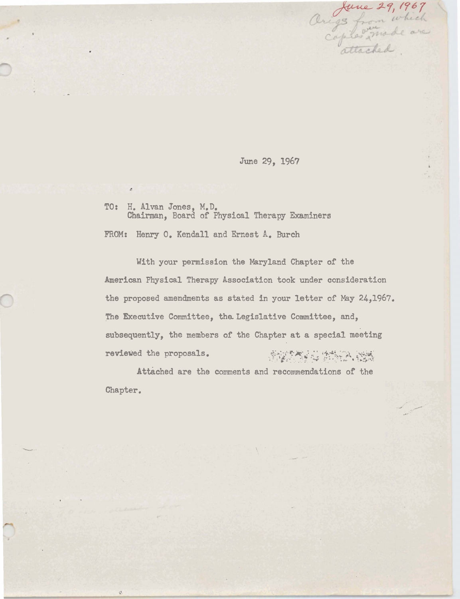June 29, 1967

Arigs from which<br>Origs from which<br>capter mode are

TO: H. Alvan Jones, M.D.<br>Chairman, Board of Physical Therapy Examiners

FROM: Henry O. Kendall and Ernest A. Burch

With your permission the Maryland Chapter of the American Physical Therapy Association took under consideration the proposed amendments as stated in your letter of May 24,1967. The Executive Committee, the Legislative Committee, and, subsequently, the members of the Chapter at a special meeting reviewed the proposals. 

Attached are the comments and recommendations of the Chapter.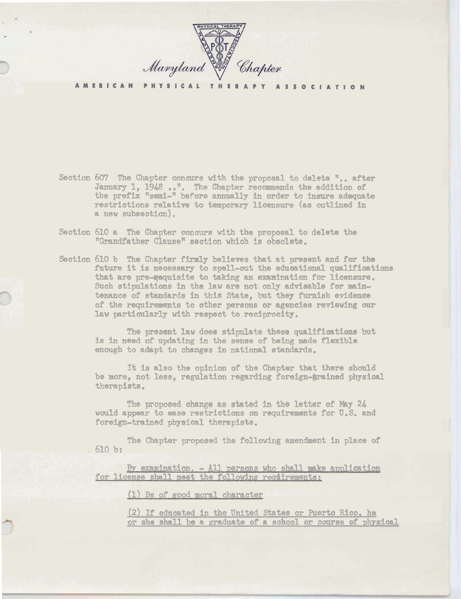

**AMERICAN PHYSICAL THERAPY ASSOCIATION** 

- Section 607 The Chapter concurs with the proposal to delete ".. after 607 The Chapter concurs with the proposal to delete ".. after the Diaments of January 1, 1948 ...". The Chapter recommends the addition of the preflx "semi-" before annually in order to insure adequate restrictions relative to temporary licensure (as outlined in a new subsection).
- Section 610 a The Chapter concurs with the proposal to delete the "Grandfather Clause" section which is obsolete.
- Section 610 b The Chapter firmly believes that at present and for the future it is necessary to spell-out the educational qualifications that are pre-**re**quisite to taking an examination for licensure. Such stipulations in the law are not only advisable for maintenance of standards in this State, but they furnish evidenoe of the requirements to other persons or agencies reviewing our law particularly **with** respect to reciprocity.

**The** present law does stipulate these qualificatima but is **in** need of updating in the **sense** of **being made flexible**  enough to adapt to changes in national standards.

It is also the opinion of the Chapter that there should be more, not less, regulation regarding foreign-grained physical therapists.

The proposed change as stated in the letter of May 24 would appear to **ease** restrictions on requirements for U.S. and foreign-trained physical therapists.

The Chapter proposed the fallowing amendment in place **of**  $610 b:$ 

By examination. - All persons who shall make application for license shall meet the following requirements:

(1) Be of good moral character

**12)** If educated in the United States or Puerto Rico. he or she shall be a graduate of a school or course of physical